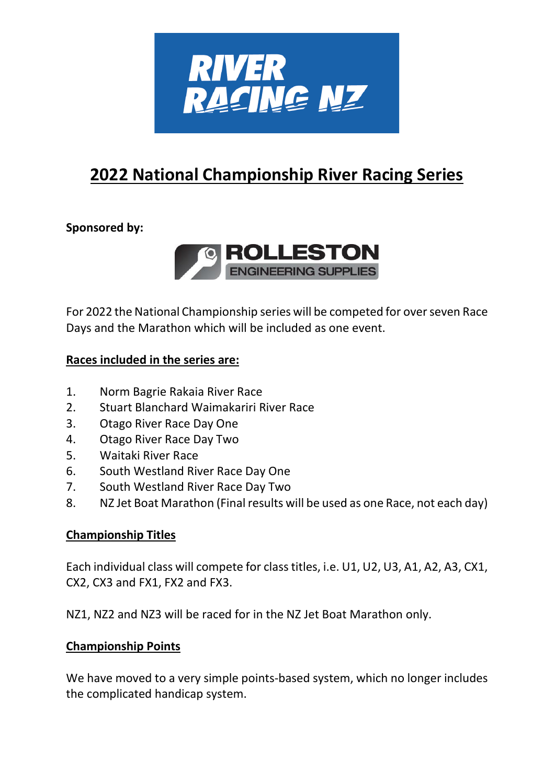

# **2022 National Championship River Racing Series**

# **Sponsored by:**



For 2022 the National Championship series will be competed for over seven Race Days and the Marathon which will be included as one event.

## **Races included in the series are:**

- 1. Norm Bagrie Rakaia River Race
- 2. Stuart Blanchard Waimakariri River Race
- 3. Otago River Race Day One
- 4. Otago River Race Day Two
- 5. Waitaki River Race
- 6. South Westland River Race Day One
- 7. South Westland River Race Day Two
- 8. NZ Jet Boat Marathon (Final results will be used as one Race, not each day)

#### **Championship Titles**

Each individual class will compete for class titles, i.e. U1, U2, U3, A1, A2, A3, CX1, CX2, CX3 and FX1, FX2 and FX3.

NZ1, NZ2 and NZ3 will be raced for in the NZ Jet Boat Marathon only.

#### **Championship Points**

We have moved to a very simple points-based system, which no longer includes the complicated handicap system.